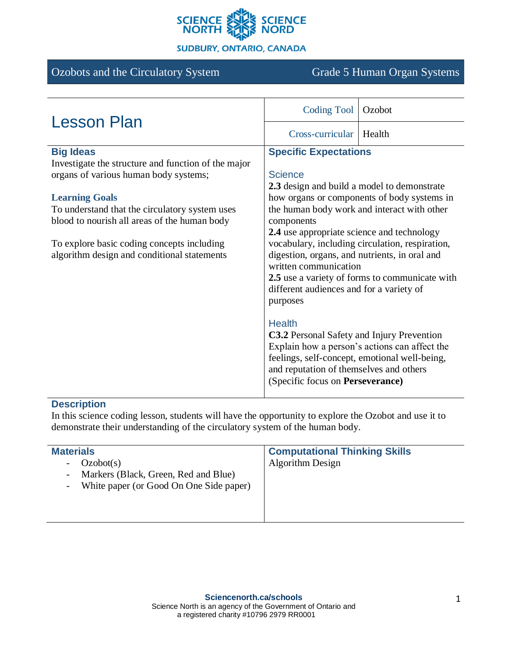

#### **SUDBURY, ONTARIO, CANADA**

## Ozobots and the Circulatory System Grade 5 Human Organ Systems

| <b>Lesson Plan</b>                                  | <b>Coding Tool</b>                                                                                     | Ozobot                                        |
|-----------------------------------------------------|--------------------------------------------------------------------------------------------------------|-----------------------------------------------|
|                                                     | Cross-curricular                                                                                       | Health                                        |
| <b>Big Ideas</b>                                    | <b>Specific Expectations</b>                                                                           |                                               |
| Investigate the structure and function of the major |                                                                                                        |                                               |
| organs of various human body systems;               | <b>Science</b>                                                                                         |                                               |
|                                                     | 2.3 design and build a model to demonstrate                                                            |                                               |
| <b>Learning Goals</b>                               | how organs or components of body systems in                                                            |                                               |
| To understand that the circulatory system uses      | the human body work and interact with other                                                            |                                               |
| blood to nourish all areas of the human body        | components                                                                                             |                                               |
|                                                     | 2.4 use appropriate science and technology                                                             |                                               |
| To explore basic coding concepts including          | vocabulary, including circulation, respiration,<br>digestion, organs, and nutrients, in oral and       |                                               |
| algorithm design and conditional statements         | written communication                                                                                  |                                               |
|                                                     | 2.5 use a variety of forms to communicate with<br>different audiences and for a variety of<br>purposes |                                               |
|                                                     |                                                                                                        |                                               |
|                                                     |                                                                                                        |                                               |
|                                                     |                                                                                                        |                                               |
|                                                     | <b>Health</b>                                                                                          |                                               |
|                                                     | <b>C3.2</b> Personal Safety and Injury Prevention                                                      |                                               |
|                                                     |                                                                                                        | Explain how a person's actions can affect the |
|                                                     | feelings, self-concept, emotional well-being,                                                          |                                               |
|                                                     | and reputation of themselves and others                                                                |                                               |
|                                                     | (Specific focus on Perseverance)                                                                       |                                               |

## **Description**

In this science coding lesson, students will have the opportunity to explore the Ozobot and use it to demonstrate their understanding of the circulatory system of the human body.

| <b>Materials</b>                                                                                                                                       | <b>Computational Thinking Skills</b> |
|--------------------------------------------------------------------------------------------------------------------------------------------------------|--------------------------------------|
| Ozobot(s)<br>$\overline{\phantom{a}}$<br>- Markers (Black, Green, Red and Blue)<br>White paper (or Good On One Side paper)<br>$\overline{\phantom{a}}$ | <b>Algorithm Design</b>              |
|                                                                                                                                                        |                                      |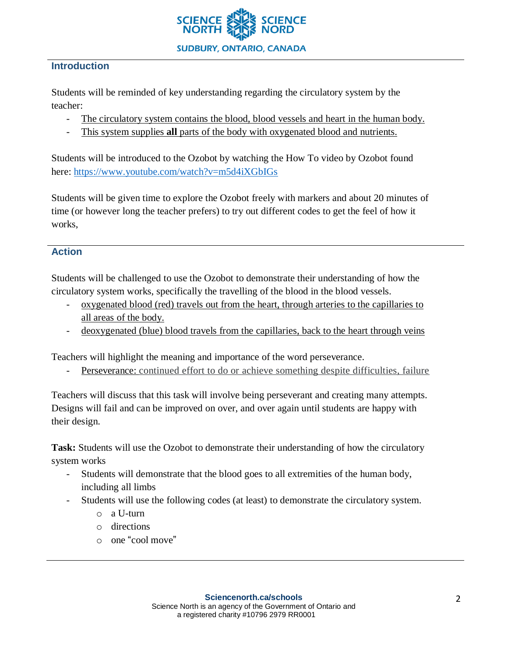

### **Introduction**

Students will be reminded of key understanding regarding the circulatory system by the teacher:

- The circulatory system contains the blood, blood vessels and heart in the human body.
- This system supplies **all** parts of the body with oxygenated blood and nutrients.

Students will be introduced to the Ozobot by watching the How To video by Ozobot found here: <https://www.youtube.com/watch?v=m5d4iXGbIGs>

Students will be given time to explore the Ozobot freely with markers and about 20 minutes of time (or however long the teacher prefers) to try out different codes to get the feel of how it works,

### **Action**

Students will be challenged to use the Ozobot to demonstrate their understanding of how the circulatory system works, specifically the travelling of the blood in the blood vessels.

- oxygenated blood (red) travels out from the heart, through arteries to the capillaries to all areas of the body.
- deoxygenated (blue) blood travels from the capillaries, back to the heart through veins

Teachers will highlight the meaning and importance of the word perseverance.

Perseverance: continued effort to do or achieve something despite difficulties, failure

Teachers will discuss that this task will involve being perseverant and creating many attempts. Designs will fail and can be improved on over, and over again until students are happy with their design.

**Task:** Students will use the Ozobot to demonstrate their understanding of how the circulatory system works

- Students will demonstrate that the blood goes to all extremities of the human body, including all limbs
- Students will use the following codes (at least) to demonstrate the circulatory system.
	- o a U-turn
	- o directions
	- o one "cool move"